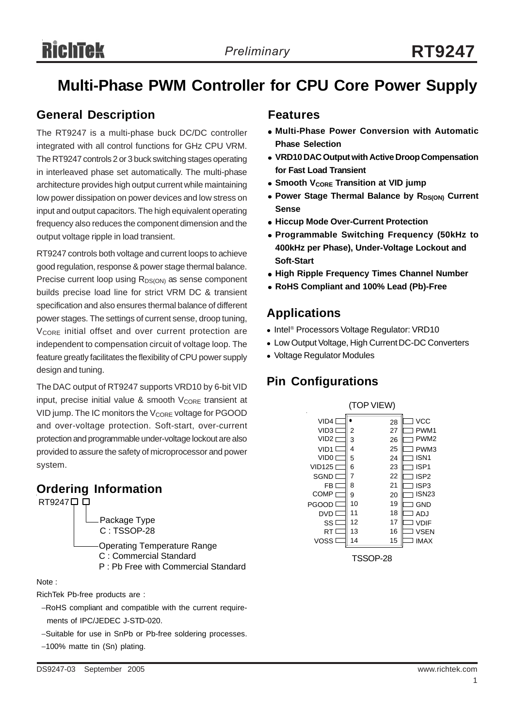## **Multi-Phase PWM Controller for CPU Core Power Supply**

### **General Description**

The RT9247 is a multi-phase buck DC/DC controller integrated with all control functions for GHz CPU VRM. The RT9247 controls 2 or 3 buck switching stages operating in interleaved phase set automatically. The multi-phase architecture provides high output current while maintaining low power dissipation on power devices and low stress on input and output capacitors. The high equivalent operating frequency also reduces the component dimension and the output voltage ripple in load transient.

RT9247 controls both voltage and current loops to achieve good regulation, response & power stage thermal balance. Precise current loop using  $R_{DS(ON)}$  as sense component builds precise load line for strict VRM DC & transient specification and also ensures thermal balance of different power stages. The settings of current sense, droop tuning, V<sub>CORE</sub> initial offset and over current protection are independent to compensation circuit of voltage loop. The feature greatly facilitates the flexibility of CPU power supply design and tuning.

The DAC output of RT9247 supports VRD10 by 6-bit VID input, precise initial value & smooth  $V_{CORE}$  transient at VID jump. The IC monitors the  $V_{\text{CORE}}$  voltage for PGOOD and over-voltage protection. Soft-start, over-current protection and programmable under-voltage lockout are also provided to assure the safety of microprocessor and power system.

### **Ordering Information**

RT9247<sup> $\Box$ </sup>

Package Type C : TSSOP-28

Operating Temperature Range C : Commercial Standard P : Pb Free with Commercial Standard

#### Note :

RichTek Pb-free products are :

−RoHS compliant and compatible with the current require ments of IPC/JEDEC J-STD-020.

- −Suitable for use in SnPb or Pb-free soldering processes.
- −100% matte tin (Sn) plating.

### **Features**

- <sup>z</sup> **Multi-Phase Power Conversion with Automatic Phase Selection**
- **VRD10 DAC Output with Active Droop Compensation for Fast Load Transient**
- **Smooth VCORE Transition at VID jump**
- Power Stage Thermal Balance by R<sub>DS(ON)</sub> Current **Sense**
- **Hiccup Mode Over-Current Protection**
- <sup>z</sup> **Programmable Switching Frequency (50kHz to 400kHz per Phase), Under-Voltage Lockout and Soft-Start**
- **High Ripple Frequency Times Channel Number**
- <sup>z</sup> **RoHS Compliant and 100% Lead (Pb)-Free**

### **Applications**

- Intel<sup>®</sup> Processors Voltage Regulator: VRD10
- Low Output Voltage, High Current DC-DC Converters
- Voltage Regulator Modules

### **Pin Configurations**

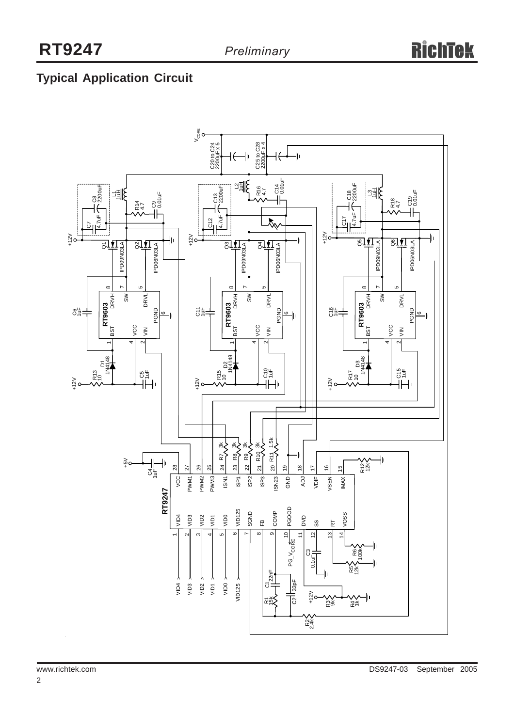### **Typical Application Circuit**

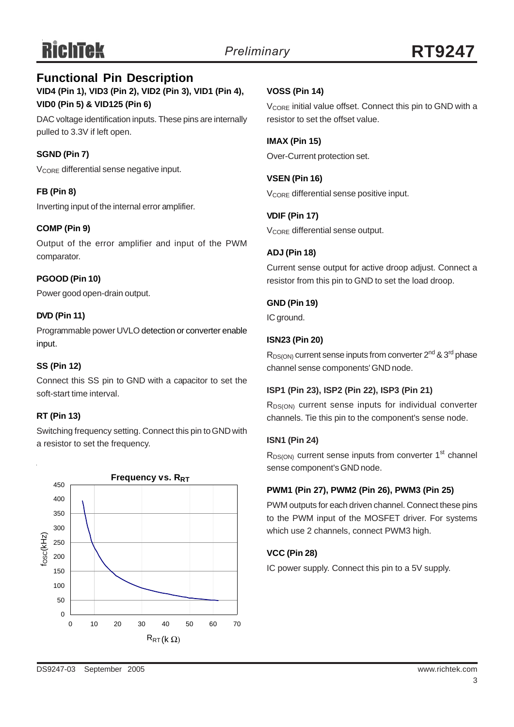### **VID4 (Pin 1), VID3 (Pin 2), VID2 (Pin 3), VID1 (Pin 4), VID0 (Pin 5) & VID125 (Pin 6) Functional Pin Description**

DAC voltage identification inputs. These pins are internally pulled to 3.3V if left open.

### **SGND (Pin 7)**

V<sub>CORE</sub> differential sense negative input.

### **FB (Pin 8)**

Inverting input of the internal error amplifier.

### **COMP (Pin 9)**

Output of the error amplifier and input of the PWM comparator.

### **PGOOD (Pin 10)**

Power good open-drain output.

### **DVD (Pin 11)**

Programmable power UVLO detection or converter enable input.

### **SS (Pin 12)**

Connect this SS pin to GND with a capacitor to set the soft-start time interval.

### **RT (Pin 13)**

Switching frequency setting. Connect this pin to GND with a resistor to set the frequency.



### **VOSS (Pin 14)**

 $V_{\text{CORF}}$  initial value offset. Connect this pin to GND with a resistor to set the offset value.

### **IMAX (Pin 15)**

Over-Current protection set.

**VSEN (Pin 16)** V<sub>CORE</sub> differential sense positive input.

### **VDIF (Pin 17)**

V<sub>CORE</sub> differential sense output.

### **ADJ (Pin 18)**

Current sense output for active droop adjust. Connect a resistor from this pin to GND to set the load droop.

#### **GND (Pin 19)**

IC ground.

### **ISN23 (Pin 20)**

 $R_{DS(ON)}$  current sense inputs from converter  $2^{nd}$  &  $3^{rd}$  phase channel sense components' GND node.

#### **ISP1 (Pin 23), ISP2 (Pin 22), ISP3 (Pin 21)**

R<sub>DS(ON)</sub> current sense inputs for individual converter channels. Tie this pin to the component's sense node.

#### **ISN1 (Pin 24)**

 $R_{DS(ON)}$  current sense inputs from converter 1<sup>st</sup> channel sense component's GND node.

### **PWM1 (Pin 27), PWM2 (Pin 26), PWM3 (Pin 25)**

PWM outputs for each driven channel. Connect these pins to the PWM input of the MOSFET driver. For systems which use 2 channels, connect PWM3 high.

### **VCC (Pin 28)**

IC power supply. Connect this pin to a 5V supply.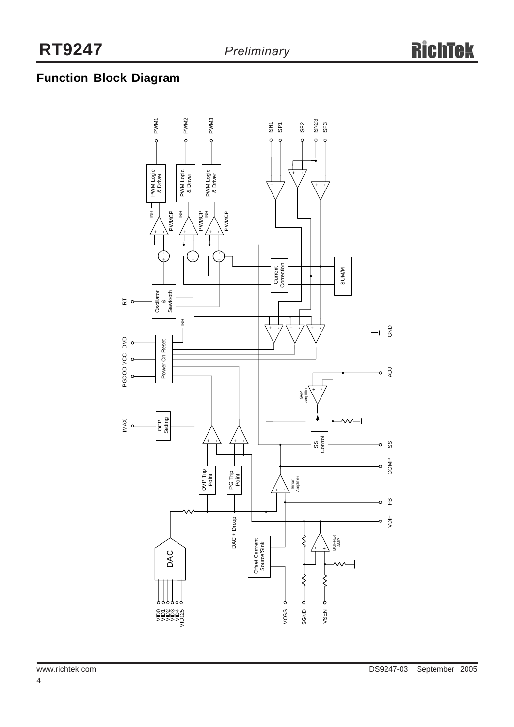### **Function Block Diagram**

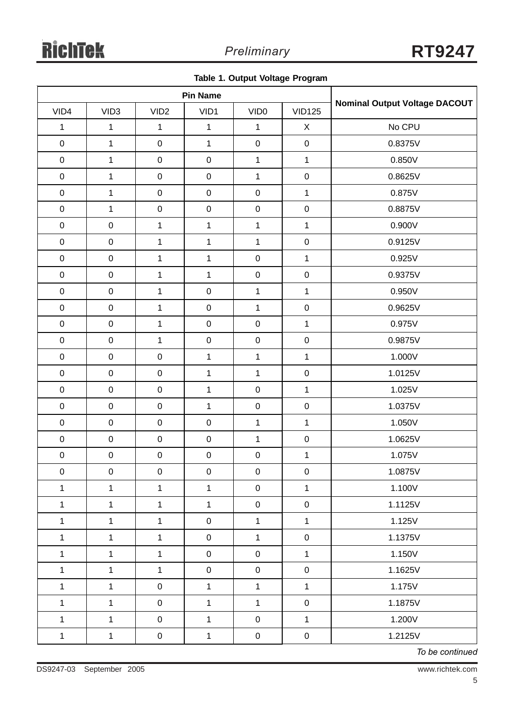|  |  |  |  | Table 1. Output Voltage Program |
|--|--|--|--|---------------------------------|
|--|--|--|--|---------------------------------|

| <b>Pin Name</b> |                     |                  |                  |                  |               |                               |  |
|-----------------|---------------------|------------------|------------------|------------------|---------------|-------------------------------|--|
| VID4            | VID <sub>3</sub>    | VID <sub>2</sub> | VID1             | VID <sub>0</sub> | <b>VID125</b> | Nominal Output Voltage DACOUT |  |
| $\mathbf{1}$    | $\mathbf 1$         | $\mathbf{1}$     | $\mathbf{1}$     | $\mathbf{1}$     | $\mathsf X$   | No CPU                        |  |
| $\mathbf 0$     | $\mathbf 1$         | $\mathbf 0$      | $\mathbf{1}$     | $\pmb{0}$        | $\mathbf 0$   | 0.8375V                       |  |
| $\mathbf 0$     | $\mathbf{1}$        | $\pmb{0}$        | $\mathbf 0$      | $\mathbf 1$      | $\mathbf{1}$  | 0.850V                        |  |
| $\pmb{0}$       | $\mathbf 1$         | $\mathbf 0$      | $\mathbf 0$      | $\mathbf{1}$     | $\mathbf 0$   | 0.8625V                       |  |
| $\mathbf 0$     | $\mathbf 1$         | $\pmb{0}$        | $\mathbf 0$      | $\mathbf 0$      | $\mathbf{1}$  | 0.875V                        |  |
| $\mathbf 0$     | $\mathbf{1}$        | $\mathsf 0$      | $\mathsf 0$      | $\pmb{0}$        | $\mathbf 0$   | 0.8875V                       |  |
| $\pmb{0}$       | $\mathbf 0$         | $\mathbf 1$      | $\mathbf{1}$     | $\mathbf 1$      | $\mathbf{1}$  | 0.900V                        |  |
| $\mathbf 0$     | $\pmb{0}$           | $\mathbf{1}$     | $\mathbf 1$      | $\mathbf 1$      | $\mathbf 0$   | 0.9125V                       |  |
| $\mathbf 0$     | $\mathbf 0$         | $\mathbf{1}$     | $\mathbf{1}$     | $\pmb{0}$        | $\mathbf{1}$  | 0.925V                        |  |
| $\pmb{0}$       | $\pmb{0}$           | $\mathbf{1}$     | $\mathbf 1$      | $\pmb{0}$        | $\mathbf 0$   | 0.9375V                       |  |
| $\mathbf 0$     | $\pmb{0}$           | $\mathbf{1}$     | $\pmb{0}$        | $\mathbf 1$      | $\mathbf 1$   | 0.950V                        |  |
| $\pmb{0}$       | $\mathbf 0$         | $\mathbf{1}$     | $\mathbf 0$      | $\mathbf{1}$     | $\pmb{0}$     | 0.9625V                       |  |
| $\mathbf 0$     | $\mathbf 0$         | $\mathbf{1}$     | $\pmb{0}$        | $\pmb{0}$        | $\mathbf{1}$  | 0.975V                        |  |
| $\pmb{0}$       | $\mathbf 0$         | $\mathbf{1}$     | $\pmb{0}$        | $\pmb{0}$        | $\mathbf 0$   | 0.9875V                       |  |
| $\mathbf 0$     | $\pmb{0}$           | $\pmb{0}$        | $\mathbf{1}$     | $\mathbf{1}$     | $\mathbf{1}$  | 1.000V                        |  |
| $\mathbf 0$     | $\pmb{0}$           | $\mathbf 0$      | $\mathbf{1}$     | $\mathbf 1$      | $\mathbf 0$   | 1.0125V                       |  |
| $\mathbf 0$     | $\pmb{0}$           | $\mathbf 0$      | $\mathbf 1$      | $\mathbf 0$      | $\mathbf{1}$  | 1.025V                        |  |
| $\mathbf 0$     | $\mathsf{O}\xspace$ | $\mathbf 0$      | $\mathbf{1}$     | $\pmb{0}$        | $\mathbf 0$   | 1.0375V                       |  |
| $\pmb{0}$       | $\pmb{0}$           | $\mathbf 0$      | $\pmb{0}$        | $\mathbf{1}$     | $\mathbf{1}$  | 1.050V                        |  |
| $\pmb{0}$       | $\mathbf 0$         | $\boldsymbol{0}$ | $\mathbf 0$      | $\mathbf 1$      | $\mathbf 0$   | 1.0625V                       |  |
| $\pmb{0}$       | $\pmb{0}$           | $\mathbf 0$      | $\pmb{0}$        | $\pmb{0}$        | $\mathbf{1}$  | 1.075V                        |  |
| $\mathsf{O}$    | $\mathsf 0$         | $\overline{0}$   | $\boldsymbol{0}$ | $\pmb{0}$        | $\mathbf 0$   | 1.0875V                       |  |
| $\mathbf{1}$    | $\mathbf{1}$        | $\mathbf{1}$     | $\mathbf{1}$     | $\mathsf 0$      | $\mathbf 1$   | 1.100V                        |  |
| $\mathbf 1$     | $\mathbf{1}$        | $\mathbf{1}$     | $\mathbf{1}$     | $\pmb{0}$        | $\mathbf 0$   | 1.1125V                       |  |
| $\mathbf{1}$    | $\mathbf{1}$        | $\mathbf{1}$     | $\boldsymbol{0}$ | $\mathbf{1}$     | $\mathbf{1}$  | 1.125V                        |  |
| $\mathbf{1}$    | $\mathbf{1}$        | $\mathbf{1}$     | $\pmb{0}$        | $\mathbf{1}$     | $\pmb{0}$     | 1.1375V                       |  |
| $\mathbf{1}$    | $\mathbf{1}$        | $\mathbf{1}$     | $\mathsf 0$      | $\pmb{0}$        | $\mathbf{1}$  | 1.150V                        |  |
| $\mathbf{1}$    | $\mathbf{1}$        | $\mathbf{1}$     | $\pmb{0}$        | $\mathsf 0$      | $\pmb{0}$     | 1.1625V                       |  |
| $\mathbf{1}$    | $\mathbf{1}$        | $\pmb{0}$        | $\mathbf{1}$     | $\mathbf{1}$     | $\mathbf{1}$  | 1.175V                        |  |
| $\mathbf 1$     | $\mathbf{1}$        | $\boldsymbol{0}$ | $\mathbf{1}$     | $\mathbf{1}$     | $\pmb{0}$     | 1.1875V                       |  |
| $\mathbf{1}$    | $\mathbf{1}$        | $\overline{0}$   | $\mathbf{1}$     | $\pmb{0}$        | $\mathbf{1}$  | 1.200V                        |  |
| $\mathbf{1}$    | $\mathbf{1}$        | $\pmb{0}$        | $\mathbf 1$      | $\pmb{0}$        | $\pmb{0}$     | 1.2125V                       |  |

*To be continued*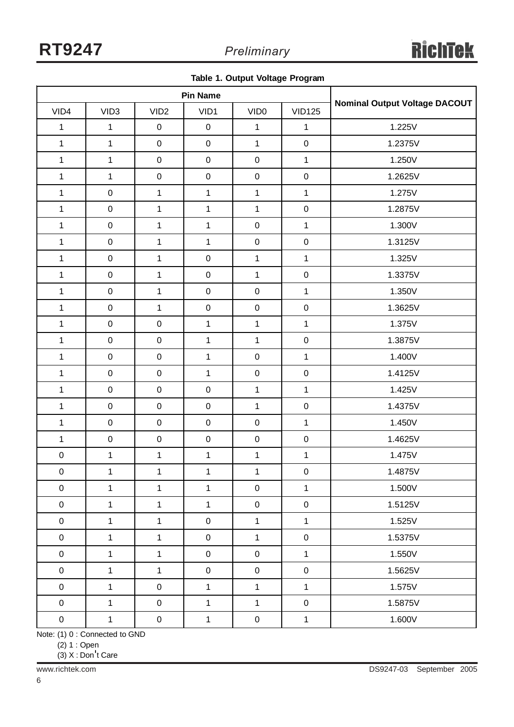|  |  |  |  | Table 1. Output Voltage Program |
|--|--|--|--|---------------------------------|
|--|--|--|--|---------------------------------|

|                  | <b>Pin Name</b>     |                  |                  |                  |               |                                      |
|------------------|---------------------|------------------|------------------|------------------|---------------|--------------------------------------|
| VID4             | VID <sub>3</sub>    | VID <sub>2</sub> | VID1             | VID <sub>0</sub> | <b>VID125</b> | <b>Nominal Output Voltage DACOUT</b> |
| $\mathbf{1}$     | $\mathbf{1}$        | $\pmb{0}$        | $\boldsymbol{0}$ | $\mathbf{1}$     | $\mathbf{1}$  | 1.225V                               |
| $\mathbf 1$      | $\mathbf 1$         | $\pmb{0}$        | $\pmb{0}$        | $\mathbf{1}$     | $\mathbf 0$   | 1.2375V                              |
| $\mathbf{1}$     | $\mathbf{1}$        | $\pmb{0}$        | $\pmb{0}$        | $\pmb{0}$        | $\mathbf{1}$  | 1.250V                               |
| $\mathbf{1}$     | $\mathbf{1}$        | $\mathbf 0$      | $\pmb{0}$        | $\pmb{0}$        | $\mathbf 0$   | 1.2625V                              |
| $\mathbf 1$      | $\pmb{0}$           | $\mathbf 1$      | $\mathbf{1}$     | $\mathbf{1}$     | $\mathbf 1$   | 1.275V                               |
| $\mathbf{1}$     | $\pmb{0}$           | $\mathbf{1}$     | $\mathbf{1}$     | $\mathbf{1}$     | $\mathbf 0$   | 1.2875V                              |
| $\mathbf{1}$     | $\pmb{0}$           | $\mathbf{1}$     | $\mathbf{1}$     | $\pmb{0}$        | $\mathbf{1}$  | 1.300V                               |
| $\mathbf{1}$     | $\mathsf{O}\xspace$ | $\mathbf{1}$     | $\mathbf{1}$     | $\pmb{0}$        | $\mathbf 0$   | 1.3125V                              |
| $\mathbf 1$      | $\boldsymbol{0}$    | $\mathbf{1}$     | $\mathbf 0$      | $\mathbf{1}$     | $\mathbf{1}$  | 1.325V                               |
| $\mathbf 1$      | $\pmb{0}$           | $\mathbf{1}$     | $\pmb{0}$        | $\mathbf{1}$     | $\mathbf 0$   | 1.3375V                              |
| $\mathbf{1}$     | $\pmb{0}$           | $\mathbf{1}$     | $\pmb{0}$        | $\boldsymbol{0}$ | $\mathbf{1}$  | 1.350V                               |
| $\mathbf 1$      | $\pmb{0}$           | $\mathbf{1}$     | $\pmb{0}$        | $\pmb{0}$        | $\mathbf 0$   | 1.3625V                              |
| $\mathbf{1}$     | $\pmb{0}$           | $\pmb{0}$        | $\mathbf{1}$     | $\mathbf{1}$     | $\mathbf{1}$  | 1.375V                               |
| $\mathbf{1}$     | $\boldsymbol{0}$    | $\mathbf 0$      | $\mathbf{1}$     | $\mathbf{1}$     | $\mathbf 0$   | 1.3875V                              |
| 1                | $\boldsymbol{0}$    | $\mathbf 0$      | $\mathbf{1}$     | $\pmb{0}$        | $\mathbf{1}$  | 1.400V                               |
| $\mathbf{1}$     | $\pmb{0}$           | $\mathbf 0$      | $\mathbf{1}$     | $\boldsymbol{0}$ | $\mathbf 0$   | 1.4125V                              |
| $\mathbf{1}$     | $\pmb{0}$           | $\mathbf 0$      | $\pmb{0}$        | $\mathbf{1}$     | $\mathbf 1$   | 1.425V                               |
| $\mathbf{1}$     | $\mathbf 0$         | $\mathbf 0$      | $\pmb{0}$        | $\mathbf{1}$     | $\mathbf 0$   | 1.4375V                              |
| $\mathbf{1}$     | $\pmb{0}$           | $\mathbf 0$      | $\pmb{0}$        | $\pmb{0}$        | $\mathbf{1}$  | 1.450V                               |
| $\mathbf{1}$     | $\pmb{0}$           | $\mathbf 0$      | $\pmb{0}$        | $\pmb{0}$        | $\mathbf 0$   | 1.4625V                              |
| $\pmb{0}$        | $\mathbf{1}$        | $\mathbf{1}$     | 1                | $\mathbf{1}$     | $\mathbf{1}$  | 1.475V                               |
| $\pmb{0}$        | $\mathbf{1}$        | $\mathbf{1}$     | $\mathbf{1}$     | $\mathbf 1$      | $\pmb{0}$     | 1.4875V                              |
| $\pmb{0}$        | $\mathbf{1}$        | $\mathbf{1}$     | $\mathbf{1}$     | $\mathbf 0$      | $\mathbf{1}$  | 1.500V                               |
| $\pmb{0}$        | $\mathbf{1}$        | $\mathbf{1}$     | $\mathbf{1}$     | $\pmb{0}$        | $\mathbf 0$   | 1.5125V                              |
| $\boldsymbol{0}$ | $\mathbf{1}$        | $\mathbf{1}$     | $\boldsymbol{0}$ | $\mathbf{1}$     | $\mathbf{1}$  | 1.525V                               |
| $\boldsymbol{0}$ | $\mathbf{1}$        | $\mathbf{1}$     | $\boldsymbol{0}$ | $\mathbf{1}$     | $\mathsf 0$   | 1.5375V                              |
| $\pmb{0}$        | $\mathbf{1}$        | $\mathbf{1}$     | $\boldsymbol{0}$ | $\pmb{0}$        | $\mathbf{1}$  | 1.550V                               |
| $\mathbf 0$      | $\mathbf{1}$        | $\mathbf{1}$     | $\boldsymbol{0}$ | $\pmb{0}$        | $\mathbf 0$   | 1.5625V                              |
| $\mathbf 0$      | $\mathbf 1$         | $\mathsf 0$      | $\mathbf{1}$     | $\mathbf{1}$     | $\mathbf{1}$  | 1.575V                               |
| $\boldsymbol{0}$ | $\mathbf{1}$        | $\mathbf 0$      | $\mathbf{1}$     | $\mathbf{1}$     | $\mathbf 0$   | 1.5875V                              |
| $\pmb{0}$        | $\mathbf{1}$        | $\pmb{0}$        | $\mathbf{1}$     | $\mathbf 0$      | $\mathbf 1$   | 1.600V                               |

Note: (1) 0 : Connected to GND

(2) 1 : Open

(3) X : Don't Care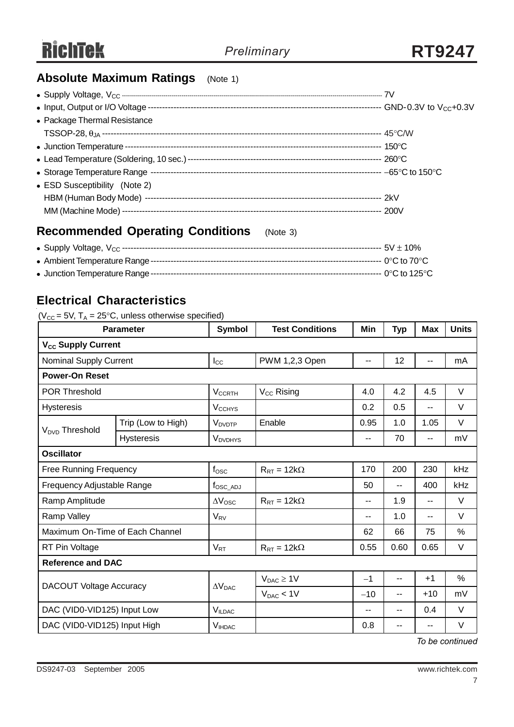### **Absolute Maximum Ratings** (Note 1)

| • Package Thermal Resistance  |  |
|-------------------------------|--|
|                               |  |
|                               |  |
|                               |  |
|                               |  |
| • ESD Susceptibility (Note 2) |  |
|                               |  |
|                               |  |
|                               |  |

### **Recommended Operating Conditions** (Note 3)

### **Electrical Characteristics**

#### ( $V_{CC}$  = 5V, T<sub>A</sub> = 25°C, unless otherwise specified)

|                                 | <b>Parameter</b>   | <b>Symbol</b>             | <b>Test Conditions</b>      | Min   | <b>Typ</b> | <b>Max</b> | <b>Units</b> |
|---------------------------------|--------------------|---------------------------|-----------------------------|-------|------------|------------|--------------|
| V <sub>CC</sub> Supply Current  |                    |                           |                             |       |            |            |              |
| <b>Nominal Supply Current</b>   |                    | $I_{\rm CC}$              | PWM 1,2,3 Open              | $-$   | 12         |            | mA           |
| <b>Power-On Reset</b>           |                    |                           |                             |       |            |            |              |
| <b>POR Threshold</b>            |                    | <b>V<sub>CCRTH</sub></b>  | $V_{CC}$ Rising             | 4.0   | 4.2        | 4.5        | V            |
| <b>Hysteresis</b>               |                    | <b>V<sub>CCHYS</sub></b>  |                             | 0.2   | 0.5        | $-$        | $\vee$       |
| V <sub>DVD</sub> Threshold      | Trip (Low to High) | <b>V</b> <sub>DVDTP</sub> | Enable                      | 0.95  | 1.0        | 1.05       | $\vee$       |
|                                 | Hysteresis         | <b>VDVDHYS</b>            |                             | $-$   | 70         | --         | mV           |
| <b>Oscillator</b>               |                    |                           |                             |       |            |            |              |
| <b>Free Running Frequency</b>   |                    | $f_{\rm OSC}$             | $R_{RT} = 12k\Omega$        | 170   | 200        | 230        | kHz          |
| Frequency Adjustable Range      |                    | $f_{\rm OSC\_ADJ}$        |                             | 50    | --         | 400        | kHz          |
| Ramp Amplitude                  |                    | $\Delta V_{\rm{OSC}}$     | $R_{RT} = 12k\Omega$        | $-$   | 1.9        | $-$        | $\vee$       |
| Ramp Valley                     |                    | $V_{\rm RV}$              |                             | $-$   | 1.0        | $-$        | V            |
| Maximum On-Time of Each Channel |                    |                           |                             | 62    | 66         | 75         | %            |
| RT Pin Voltage                  |                    | $V_{RT}$                  | $R_{\text{RT}} = 12k\Omega$ | 0.55  | 0.60       | 0.65       | $\vee$       |
| <b>Reference and DAC</b>        |                    |                           |                             |       |            |            |              |
| <b>DACOUT Voltage Accuracy</b>  |                    | $\Delta V_{\text{DAC}}$   | $V_{DAC} \geq 1V$           | $-1$  | --         | $+1$       | $\%$         |
|                                 |                    |                           | $V_{DAC}$ < 1V              | $-10$ | --         | $+10$      | mV           |
| DAC (VID0-VID125) Input Low     |                    | V <sub>ILDAC</sub>        |                             | --    | --         | 0.4        | $\vee$       |
| DAC (VID0-VID125) Input High    |                    | <b>V</b> IHDAC            |                             | 0.8   | --         | --         | V            |

*To be continued*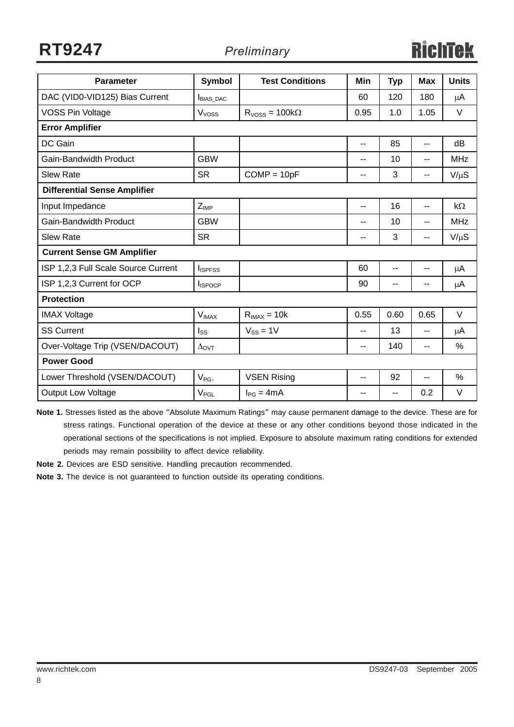**RT9247** *Preliminary*

| <b>Parameter</b>                    | <b>Symbol</b>     | <b>Test Conditions</b> | Min                      | <b>Typ</b> | <b>Max</b> | <b>Units</b> |
|-------------------------------------|-------------------|------------------------|--------------------------|------------|------------|--------------|
| DAC (VID0-VID125) Bias Current      | <b>BIAS DAC</b>   |                        | 60                       | 120        | 180        | $\mu$ A      |
| <b>VOSS Pin Voltage</b>             | V <sub>voss</sub> | $RVoss = 100k\Omega$   | 0.95                     | 1.0        | 1.05       | $\vee$       |
| <b>Error Amplifier</b>              |                   |                        |                          |            |            |              |
| DC Gain                             |                   |                        | --                       | 85         | --         | dB           |
| <b>Gain-Bandwidth Product</b>       | <b>GBW</b>        |                        | --                       | 10         | --         | <b>MHz</b>   |
| <b>Slew Rate</b>                    | <b>SR</b>         | $COMP = 10pF$          | --                       | 3          | --         | $V/\mu S$    |
| <b>Differential Sense Amplifier</b> |                   |                        |                          |            |            |              |
| Input Impedance                     | $Z_{IMP}$         |                        | $-$                      | 16         | $-$        | $k\Omega$    |
| <b>Gain-Bandwidth Product</b>       | <b>GBW</b>        |                        | $\overline{\phantom{a}}$ | 10         | $- -$      | <b>MHz</b>   |
| <b>Slew Rate</b>                    | <b>SR</b>         |                        | $\overline{\phantom{a}}$ | 3          | $-$        | $V/\mu S$    |
| <b>Current Sense GM Amplifier</b>   |                   |                        |                          |            |            |              |
| ISP 1,2,3 Full Scale Source Current | <b>I</b> ISPFSS   |                        | 60                       | --         | --         | μA           |
| ISP 1,2,3 Current for OCP           | <b>I</b> ISPOCP   |                        | 90                       | --         | --         | μA           |
| <b>Protection</b>                   |                   |                        |                          |            |            |              |
| <b>IMAX Voltage</b>                 | $V_{IMAX}$        | $R_{IMAX} = 10k$       | 0.55                     | 0.60       | 0.65       | $\vee$       |
| <b>SS Current</b>                   | $I_{SS}$          | $V_{SS} = 1V$          | $-$                      | 13         | --         | $\mu$ A      |
| Over-Voltage Trip (VSEN/DACOUT)     | $\Delta$ OVT      |                        | --                       | 140        | --         | %            |
| <b>Power Good</b>                   |                   |                        |                          |            |            |              |
| Lower Threshold (VSEN/DACOUT)       | $V_{PG-}$         | <b>VSEN Rising</b>     | --                       | 92         | --         | %            |
| <b>Output Low Voltage</b>           | $V_{PGL}$         | $I_{PG} = 4mA$         | $-$                      | --         | 0.2        | $\vee$       |

**Note 1.** Stresses listed as the above "Absolute Maximum Ratings" may cause permanent damage to the device. These are for stress ratings. Functional operation of the device at these or any other conditions beyond those indicated in the operational sections of the specifications is not implied. Exposure to absolute maximum rating conditions for extended periods may remain possibility to affect device reliability.

**Note 2.** Devices are ESD sensitive. Handling precaution recommended.

**Note 3.** The device is not guaranteed to function outside its operating conditions.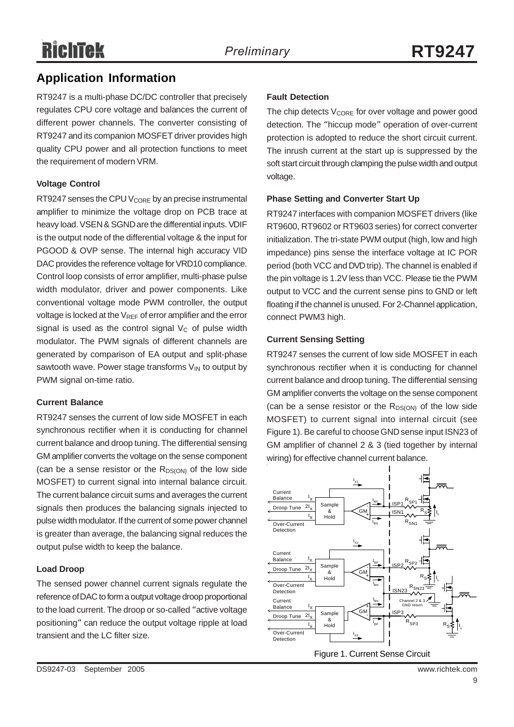# **RichTek**

### **Application Information**

RT9247 is a multi-phase DC/DC controller that precisely regulates CPU core voltage and balances the current of different power channels. The converter consisting of RT9247 and its companion MOSFET driver provides high quality CPU power and all protection functions to meet the requirement of modern VRM.

### **Voltage Control**

RT9247 senses the CPU  $V_{\text{CORE}}$  by an precise instrumental amplifier to minimize the voltage drop on PCB trace at heavy load. VSEN & SGND are the differential inputs. VDIF is the output node of the differential voltage & the input for PGOOD & OVP sense. The internal high accuracy VID DAC provides the reference voltage for VRD10 compliance. Control loop consists of error amplifier, multi-phase pulse width modulator, driver and power components. Like conventional voltage mode PWM controller, the output voltage is locked at the  $V_{REF}$  of error amplifier and the error signal is used as the control signal  $V_c$  of pulse width modulator. The PWM signals of different channels are generated by comparison of EA output and split-phase sawtooth wave. Power stage transforms  $V_{IN}$  to output by PWM signal on-time ratio.

#### **Current Balance**

RT9247 senses the current of low side MOSFET in each synchronous rectifier when it is conducting for channel current balance and droop tuning. The differential sensing GM amplifier converts the voltage on the sense component (can be a sense resistor or the  $R_{DS(ON)}$  of the low side MOSFET) to current signal into internal balance circuit. The current balance circuit sums and averages the current signals then produces the balancing signals injected to pulse width modulator. If the current of some power channel is greater than average, the balancing signal reduces the output pulse width to keep the balance.

### **Load Droop**

The sensed power channel current signals regulate the reference of DAC to form a output voltage droop proportional to the load current. The droop or so-called "active voltage positioning" can reduce the output voltage ripple at load transient and the LC filter size.

### **Fault Detection**

The chip detects  $V_{\text{CORE}}$  for over voltage and power good detection. The "hiccup mode" operation of over-current protection is adopted to reduce the short circuit current. The inrush current at the start up is suppressed by the soft start circuit through clamping the pulse width and output voltage.

### **Phase Setting and Converter Start Up**

RT9247 interfaces with companion MOSFET drivers (like RT9600, RT9602 or RT9603 series) for correct converter initialization. The tri-state PWM output (high, low and high impedance) pins sense the interface voltage at IC POR period (both VCC and DVD trip). The channel is enabled if the pin voltage is 1.2V less than VCC. Please tie the PWM output to VCC and the current sense pins to GND or left floating if the channel is unused. For 2-Channel application, connect PWM3 high.

### **Current Sensing Setting**

RT9247 senses the current of low side MOSFET in each synchronous rectifier when it is conducting for channel current balance and droop tuning. The differential sensing GM amplifier converts the voltage on the sense component (can be a sense resistor or the  $R_{DS(ON)}$  of the low side MOSFET) to current signal into internal circuit (see Figure 1). Be careful to choose GND sense input ISN23 of GM amplifier of channel 2 & 3 (tied together by internal wiring) for effective channel current balance.

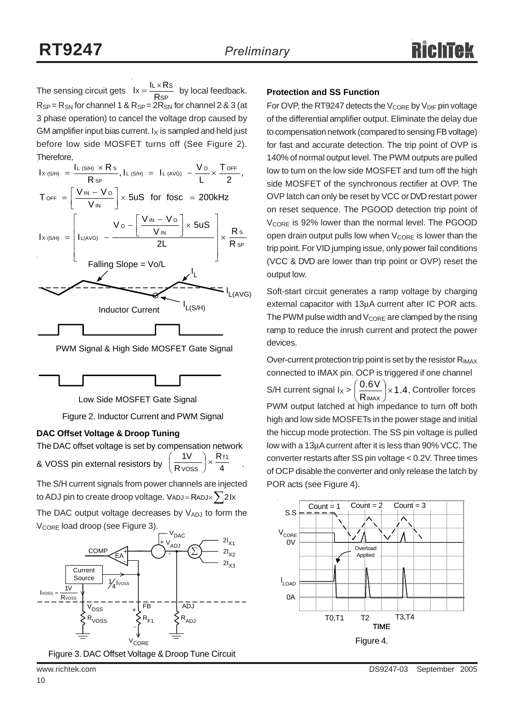The sensing circuit gets  $Ix = \frac{RATCO}{RSP}$  by local feedback. **Protection and SS Function**  $R_{SP} = R_{SN}$  for channel 1 &  $R_{SP} = 2R_{SN}$  for channel 2 & 3 (at 3 phase operation) to cancel the voltage drop caused by GM amplifier input bias current.  $I_X$  is sampled and held just before low side MOSFET turns off (See Figure 2). Therefore,  $lx = \frac{IL \times Rs}{RsP}$ 

| $I_{X(S/H)} = \frac{I_{L(S/H)} \times R s}{R_{SD}}$ , $I_{L(S/H)} = I_{L(AVG)} - \frac{V_{O}}{I} \times \frac{T_{OFF}}{2}$                |
|-------------------------------------------------------------------------------------------------------------------------------------------|
| $T_{\text{OFF}} = \left[\frac{V_{\text{IN}} - V_{\text{O}}}{V_{\text{IN}}} \right] \times 5uS$ for fosc = 200kHz                          |
| $I_{X(S/H)}$ = $\left[I_{L(AVG)} - \frac{V_o - \left[\frac{V_{IN} - V_o}{V_{IN}}\right] \times 5US}{2L}\right] \times \frac{R_S}{R_{SP}}$ |
| Falling Slope = Vo/L                                                                                                                      |
| $= I_{L(AVG)}$<br>L(S/H)                                                                                                                  |
| <b>Inductor Current</b>                                                                                                                   |
|                                                                                                                                           |

PWM Signal & High Side MOSFET Gate Signal



Low Side MOSFET Gate Signal

Figure 2. Inductor Current and PWM Signal

#### **DAC Offset Voltage & Droop Tuning**

The DAC offset voltage is set by compensation network & VOSS pin external resistors by  $\left(\frac{R}{\text{V} \cdot \text{V} \cdot \text{V}}\right)^{\times}$   $\frac{1}{4}$  . R R  $1V$  Rf1  $\frac{iv}{\text{V} \text{OSS}}$   $\times$ ⎠  $\left(\frac{1}{2}\right)$ ⎝ ⎛

The S/H current signals from power channels are injected to ADJ pin to create droop voltage. VADJ = RADJ $\times$   $\sum$  2Ix

The DAC output voltage decreases by  $V_{ADJ}$  to form the V<sub>CORE</sub> load droop (see Figure 3).



Figure 3. DAC Offset Voltage & Droop Tune Circuit

For OVP, the RT9247 detects the  $V_{\text{CORE}}$  by  $V_{\text{DIF}}$  pin voltage of the differential amplifier output. Eliminate the delay due to compensation network (compared to sensing FB voltage) for fast and accurate detection. The trip point of OVP is 140% of normal output level. The PWM outputs are pulled low to turn on the low side MOSFET and turn off the high side MOSFET of the synchronous rectifier at OVP. The OVP latch can only be reset by VCC or DVD restart power on reset sequence. The PGOOD detection trip point of V<sub>CORE</sub> is 92% lower than the normal level. The PGOOD open drain output pulls low when  $V_{\text{CORE}}$  is lower than the trip point. For VID jumping issue, only power fail conditions (VCC & DVD are lower than trip point or OVP) reset the output low.

Soft-start circuit generates a ramp voltage by charging external capacitor with 13μA current after IC POR acts. The PWM pulse width and  $V_{\text{CORE}}$  are clamped by the rising ramp to reduce the inrush current and protect the power devices.

Over-current protection trip point is set by the resistor  $R_{IMAX}$ connected to IMAX pin. OCP is triggered if one channel S/H current signal  $I_X > \left(\frac{0.6 V}{R_{IMAX}}\right) \times 1.4$ . Controller forces PWM output latched at high impedance to turn off both high and low side MOSFETs in the power stage and initial the hiccup mode protection. The SS pin voltage is pulled low with a 13μA current after it is less than 90% VCC. The converter restarts after SS pin voltage < 0.2V. Three times of OCP disable the converter and only release the latch by POR acts (see Figure 4).  $\frac{10 V}{1 MAX}$ ⎠  $\left(\frac{0.6V}{2}\right)$ ⎝  $\big($ 

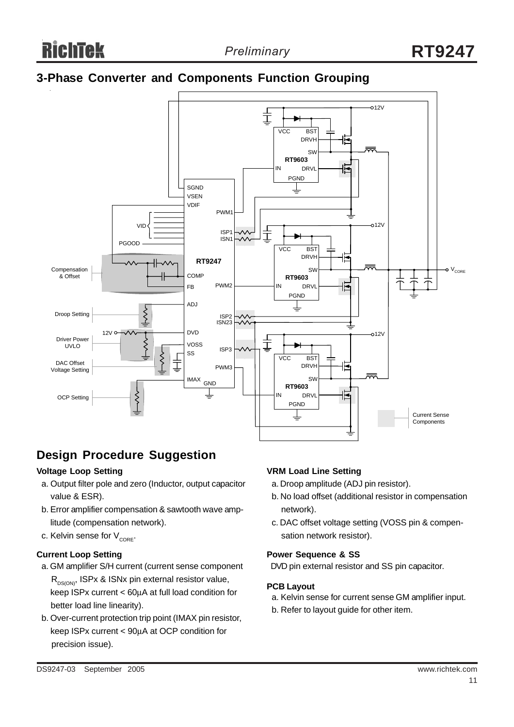### **3-Phase Converter and Components Function Grouping**



### **Design Procedure Suggestion**

#### **Voltage Loop Setting**

- a. Output filter pole and zero (Inductor, output capacitor value & ESR).
- b. Error amplifier compensation & sawtooth wave amp litude (compensation network).
- c. Kelvin sense for  $V_{CORE}$ .

### **Current Loop Setting**

- a. GM amplifier S/H current (current sense component  $R_{DS(ON)}$ , ISPx & ISNx pin external resistor value, keep ISPx current < 60μA at full load condition for better load line linearity).
- b. Over-current protection trip point (IMAX pin resistor, keep ISPx current < 90μA at OCP condition for precision issue).

#### **VRM Load Line Setting**

- a. Droop amplitude (ADJ pin resistor).
- b. No load offset (additional resistor in compensation network).
- c. DAC offset voltage setting (VOSS pin & compen sation network resistor).

#### **Power Sequence & SS**

DVD pin external resistor and SS pin capacitor.

#### **PCB Layout**

- a. Kelvin sense for current sense GM amplifier input.
- b. Refer to layout guide for other item.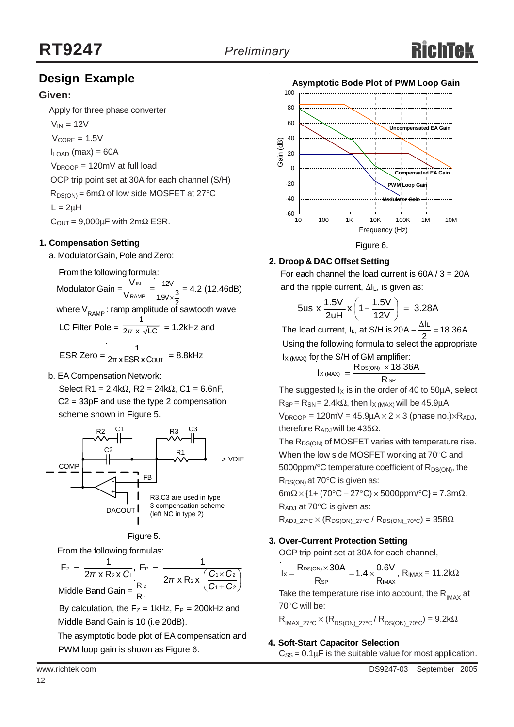### **Design Example**

### **Given:**

Apply for three phase converter

 $V_{IN} = 12V$  $V_{\text{CORF}} = 1.5V$  $I_{\text{LOAD}}$  (max) = 60A  $V_{\text{DROOP}} = 120 \text{mV}$  at full load OCP trip point set at 30A for each channel (S/H)  $R_{DS(ON)} = 6m\Omega$  of low side MOSFET at 27°C

 $L = 2uH$ 

 $C_{\text{OUT}} = 9,000 \mu F$  with  $2m\Omega$  ESR.

### **1. Compensation Setting**

a. Modulator Gain, Pole and Zero:

From the following formula:

Modulator Gain  $=\frac{100}{\text{V}_\text{RAMP}} = \frac{120}{190 \times 3} = 4.2$  (12.46dB) where  $V_{\mathsf{RAMP}}$ : ramp amplitude of sawtooth wave IN V V 12V 1.9 $V \times \frac{3}{5}$ 

LC Filter Pole =  $\frac{1}{2\pi} \times \sqrt{LC}$  = 1.2kHz and 1 *π*

$$
ESR Zero = \frac{1}{2\pi x ESR \times COUT} = 8.8kHz
$$

b. EA Compensation Network:

Select R1 = 2.4kΩ, R2 = 24kΩ, C1 = 6.6nF, C2 = 33pF and use the type 2 compensation scheme shown in Figure 5.



#### Figure 5.

From the following formulas:

 $\sqrt{2}$ ⎠  $\left(\frac{C_1 \times C_2}{2}\right)$ ⎝  $\big($ +  $=\frac{1}{2\pi \times R_2 \times C_1}$ , F<sub>P</sub> =  $\frac{1}{2\pi \times R_1 \times C_1}$ 1 + C 2  $2x \left( \frac{C_1 \times C_2}{2} \right)$ P 2 X U 1 Z  $F_z = \frac{1}{2\pi x R_2 x C_1}, F_P = \frac{1}{2\pi x R_2 x}$ *C C*  $\pi$  x R<sub>2</sub> x C<sub>1</sub><sup> $\pi$ </sup> 2π x R<sub>2</sub> x  $\left(\frac{C_1 \times C_2}{C_1} \right)$ 1 2 Middle Band Gain =  $\frac{R}{R}$ 

By calculation, the  $F_Z = 1$ kHz,  $F_P = 200$ kHz and Middle Band Gain is 10 (i.e 20dB).

 The asymptotic bode plot of EA compensation and PWM loop gain is shown as Figure 6.



### **2. Droop & DAC Offset Setting**

For each channel the load current is  $60A / 3 = 20A$ and the ripple current, ΔIL, is given as:

$$
5us \times \frac{1.5V}{2uH} \times \left(1 - \frac{1.5V}{12V}\right) = 3.28A
$$

The load current,  $I_L$ , at S/H is  $20A - \frac{\Delta I_L}{2} = 18.36A$ . Using the following formula to select the appropriate  $I_{X (MAX)}$  for the S/H of GM amplifier:

$$
I_{X\, (MAX)} = \frac{R_{DS(ON)} \times 18.36A}{R_{SP}}
$$

The suggested  $I_X$  is in the order of 40 to 50 $\mu$ A, select  $R_{SP} = R_{SN} = 2.4 k\Omega$ , then  $I_{X (MAX)}$  will be 45.9µA.

 $V_{\text{DROOP}} = 120 \text{mV} = 45.9 \text{mA} \times 2 \times 3$  (phase no.) $\times R_{\text{AD,I}}$ therefore  $R_{ADJ}$  will be 435Ω.

The  $R_{DS(ON)}$  of MOSFET varies with temperature rise. When the low side MOSFET working at 70°C and 5000ppm/ $\textdegree$ C temperature coefficient of  $R_{DS(ON)}$ , the  $R_{DS(ON)}$  at 70 $\degree$ C is given as:

 $6m\Omega \times \{1 + (70^{\circ}C - 27^{\circ}C) \times 5000$ ppm/ $^{\circ}C\} = 7.3m\Omega$ .

RADJ at 70°C is given as:

 $\mathsf{I}_{\mathsf{X}}$  (M

 $R_{ADJ-27°C} \times (R_{DS(ON)-27°C} / R_{DS(ON)-70°C}) = 358\Omega$ 

#### **3. Over-Current Protection Setting**

OCP trip point set at 30A for each channel,

$$
I_X=\frac{R_{DS(ON)}\times 30A}{R_{SP}}=1.4\times\frac{0.6V}{R_{IMAX}},\; R_{IMAX}=11.2k\Omega
$$

Take the temperature rise into account, the  $R_{\text{MAX}}$  at 70°C will be:

 $R_{IMAX-27°C} \times (R_{DS(ON)-27°C} / R_{DS(ON)-70°C}) = 9.2k\Omega$ 

#### **4. Soft-Start Capacitor Selection**

 $C_{SS} = 0.1 \mu F$  is the suitable value for most application.

12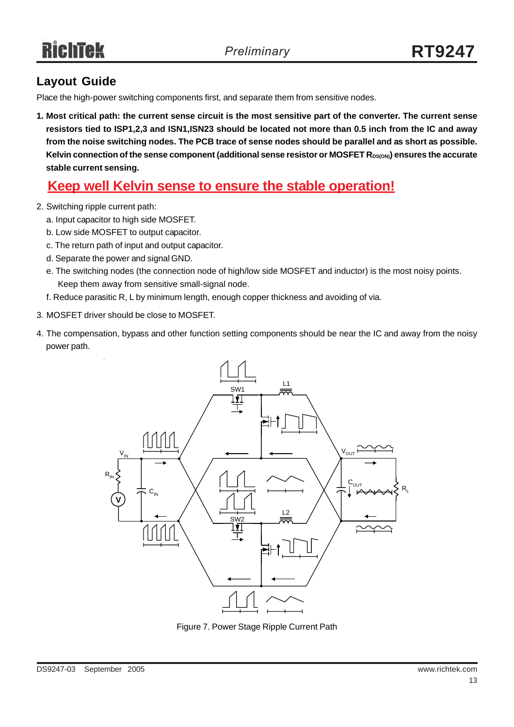### **Layout Guide**

Place the high-power switching components first, and separate them from sensitive nodes.

**1. Most critical path: the current sense circuit is the most sensitive part of the converter. The current sense resistors tied to ISP1,2,3 and ISN1,ISN23 should be located not more than 0.5 inch from the IC and away from the noise switching nodes. The PCB trace of sense nodes should be parallel and as short as possible.** Kelvin connection of the sense component (additional sense resistor or MOSFET R<sub>DS(ON)</sub>) ensures the accurate **stable current sensing.**

### **Keep well Kelvin sense to ensure the stable operation!**

- 2. Switching ripple current path:
	- a. Input capacitor to high side MOSFET.
	- b. Low side MOSFET to output capacitor.
	- c. The return path of input and output capacitor.
	- d. Separate the power and signal GND.
	- e. The switching nodes (the connection node of high/low side MOSFET and inductor) is the most noisy points. Keep them away from sensitive small-signal node.
	- f. Reduce parasitic R, L by minimum length, enough copper thickness and avoiding of via.
- 3. MOSFET driver should be close to MOSFET.
- 4. The compensation, bypass and other function setting components should be near the IC and away from the noisy power path.



Figure 7. Power Stage Ripple Current Path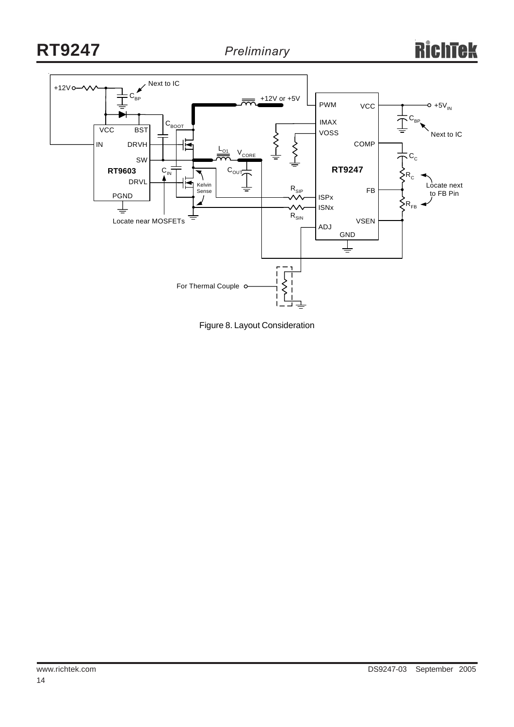

Figure 8. Layout Consideration